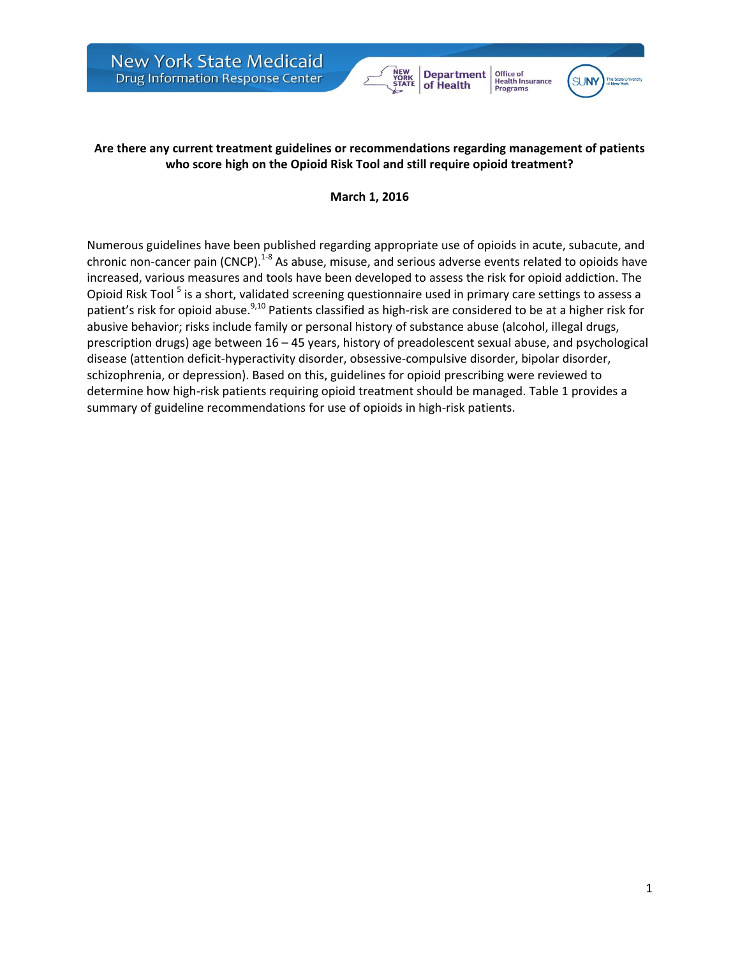



Office of<br>Health Insurance

**Programs** 

## **Are there any current treatment guidelines or recommendations regarding management of patients who score high on the Opioid Risk Tool and still require opioid treatment?**

## **March 1, 2016**

Numerous guidelines have been published regarding appropriate use of opioids in acute, subacute, and chronic non-cancer pain (CNCP).<sup>1-8</sup> As abuse, misuse, and serious adverse events related to opioids have increased, various measures and tools have been developed to assess the risk for opioid addiction. The Opioid Risk Tool <sup>5</sup> is a short, validated screening questionnaire used in primary care settings to assess a patient's risk for opioid abuse.<sup>9,10</sup> Patients classified as high-risk are considered to be at a higher risk for abusive behavior; risks include family or personal history of substance abuse (alcohol, illegal drugs, prescription drugs) age between 16 – 45 years, history of preadolescent sexual abuse, and psychological disease (attention deficit-hyperactivity disorder, obsessive-compulsive disorder, bipolar disorder, schizophrenia, or depression). Based on this, guidelines for opioid prescribing were reviewed to determine how high-risk patients requiring opioid treatment should be managed. Table 1 provides a summary of guideline recommendations for use of opioids in high-risk patients.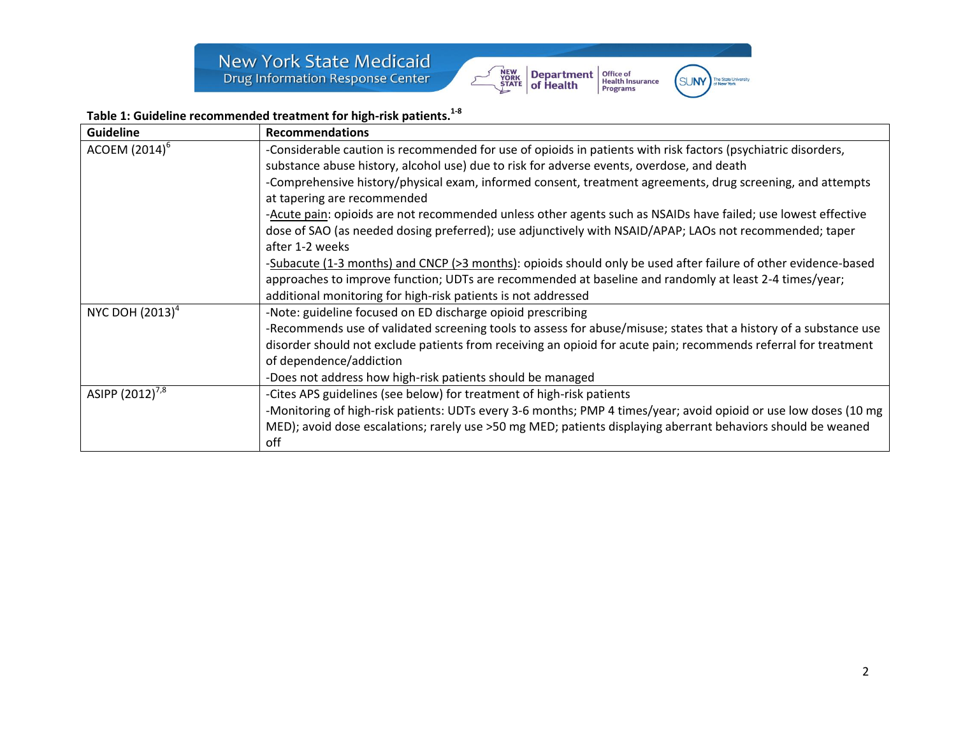

(SUNY

## **Table 1: Guideline recommended treatment for high-risk patients. 1-8**

| <b>Guideline</b>            | <b>Recommendations</b>                                                                                            |
|-----------------------------|-------------------------------------------------------------------------------------------------------------------|
| $ACOEM (2014)^6$            | -Considerable caution is recommended for use of opioids in patients with risk factors (psychiatric disorders,     |
|                             | substance abuse history, alcohol use) due to risk for adverse events, overdose, and death                         |
|                             | -Comprehensive history/physical exam, informed consent, treatment agreements, drug screening, and attempts        |
|                             | at tapering are recommended                                                                                       |
|                             | -Acute pain: opioids are not recommended unless other agents such as NSAIDs have failed; use lowest effective     |
|                             | dose of SAO (as needed dosing preferred); use adjunctively with NSAID/APAP; LAOs not recommended; taper           |
|                             | after 1-2 weeks                                                                                                   |
|                             | -Subacute (1-3 months) and CNCP (>3 months): opioids should only be used after failure of other evidence-based    |
|                             | approaches to improve function; UDTs are recommended at baseline and randomly at least 2-4 times/year;            |
|                             | additional monitoring for high-risk patients is not addressed                                                     |
| NYC DOH (2013) <sup>4</sup> | -Note: guideline focused on ED discharge opioid prescribing                                                       |
|                             | -Recommends use of validated screening tools to assess for abuse/misuse; states that a history of a substance use |
|                             | disorder should not exclude patients from receiving an opioid for acute pain; recommends referral for treatment   |
|                             | of dependence/addiction                                                                                           |
|                             | -Does not address how high-risk patients should be managed                                                        |
| ASIPP (2012) <sup>7,8</sup> | -Cites APS guidelines (see below) for treatment of high-risk patients                                             |
|                             | -Monitoring of high-risk patients: UDTs every 3-6 months; PMP 4 times/year; avoid opioid or use low doses (10 mg  |
|                             | MED); avoid dose escalations; rarely use >50 mg MED; patients displaying aberrant behaviors should be weaned      |
|                             | off                                                                                                               |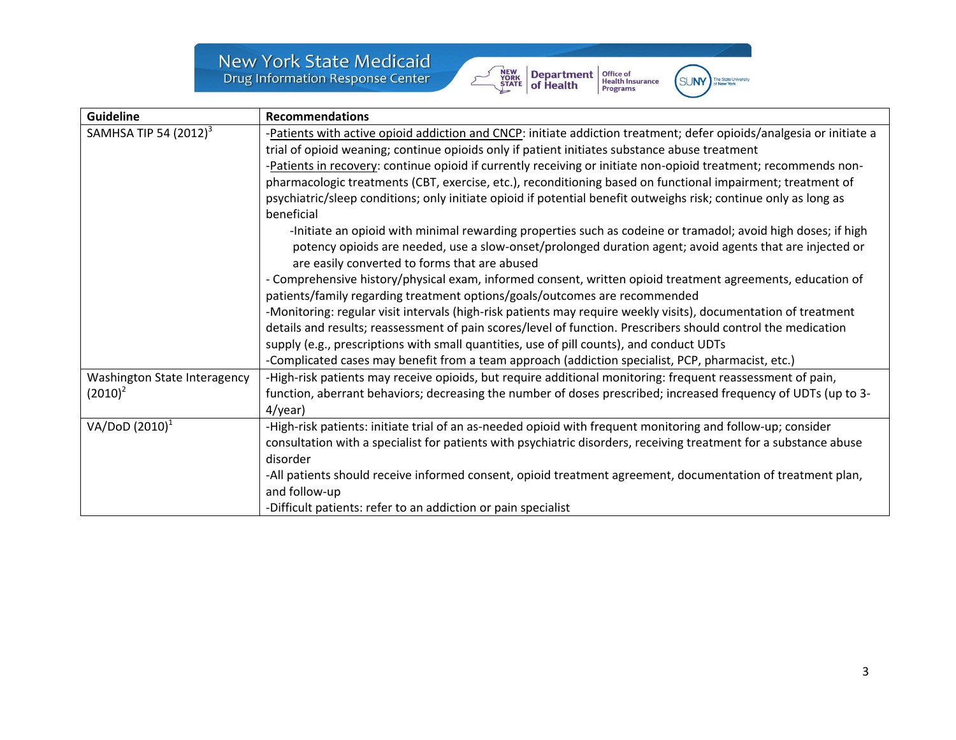New York State Medicaid<br>Drug Information Response Center





| <b>Guideline</b>                           | <b>Recommendations</b>                                                                                                                                                                                                                                                                                                                                                                                                                                                                                                                                                                                                                                                                                                                                                                                                |
|--------------------------------------------|-----------------------------------------------------------------------------------------------------------------------------------------------------------------------------------------------------------------------------------------------------------------------------------------------------------------------------------------------------------------------------------------------------------------------------------------------------------------------------------------------------------------------------------------------------------------------------------------------------------------------------------------------------------------------------------------------------------------------------------------------------------------------------------------------------------------------|
| SAMHSA TIP 54 (2012) <sup>3</sup>          | -Patients with active opioid addiction and CNCP: initiate addiction treatment; defer opioids/analgesia or initiate a<br>trial of opioid weaning; continue opioids only if patient initiates substance abuse treatment<br>-Patients in recovery: continue opioid if currently receiving or initiate non-opioid treatment; recommends non-<br>pharmacologic treatments (CBT, exercise, etc.), reconditioning based on functional impairment; treatment of<br>psychiatric/sleep conditions; only initiate opioid if potential benefit outweighs risk; continue only as long as<br>beneficial<br>-Initiate an opioid with minimal rewarding properties such as codeine or tramadol; avoid high doses; if high<br>potency opioids are needed, use a slow-onset/prolonged duration agent; avoid agents that are injected or |
|                                            | are easily converted to forms that are abused<br>- Comprehensive history/physical exam, informed consent, written opioid treatment agreements, education of<br>patients/family regarding treatment options/goals/outcomes are recommended<br>-Monitoring: regular visit intervals (high-risk patients may require weekly visits), documentation of treatment<br>details and results; reassessment of pain scores/level of function. Prescribers should control the medication<br>supply (e.g., prescriptions with small quantities, use of pill counts), and conduct UDTs<br>-Complicated cases may benefit from a team approach (addiction specialist, PCP, pharmacist, etc.)                                                                                                                                        |
| Washington State Interagency<br>$(2010)^2$ | -High-risk patients may receive opioids, but require additional monitoring: frequent reassessment of pain,<br>function, aberrant behaviors; decreasing the number of doses prescribed; increased frequency of UDTs (up to 3-<br>$4$ /year)                                                                                                                                                                                                                                                                                                                                                                                                                                                                                                                                                                            |
| VA/DoD $(2010)^1$                          | -High-risk patients: initiate trial of an as-needed opioid with frequent monitoring and follow-up; consider<br>consultation with a specialist for patients with psychiatric disorders, receiving treatment for a substance abuse<br>disorder<br>-All patients should receive informed consent, opioid treatment agreement, documentation of treatment plan,<br>and follow-up<br>-Difficult patients: refer to an addiction or pain specialist                                                                                                                                                                                                                                                                                                                                                                         |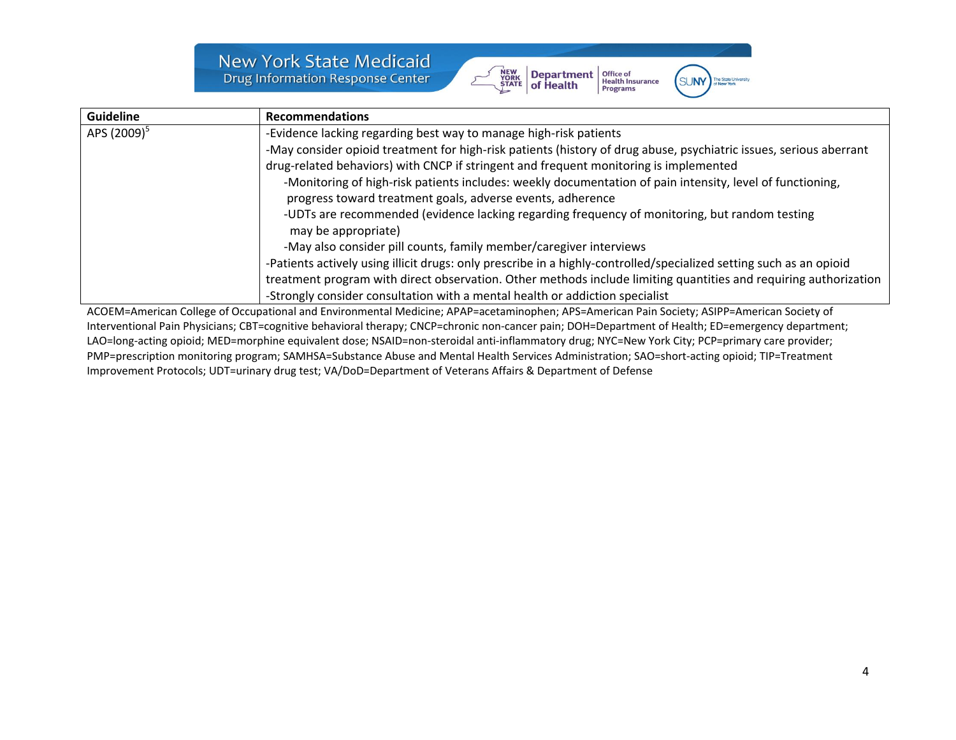**New York State Medicaid Drug Information Response Center** 



**Office of<br>Health Insurance** 

Programs

**SUNY** 



ACOEM=American College of Occupational and Environmental Medicine; APAP=acetaminophen; APS=American Pain Society; ASIPP=American Society of Interventional Pain Physicians; CBT=cognitive behavioral therapy; CNCP=chronic non-cancer pain; DOH=Department of Health; ED=emergency department; LAO=long-acting opioid; MED=morphine equivalent dose; NSAID=non-steroidal anti-inflammatory drug; NYC=New York City; PCP=primary care provider; PMP=prescription monitoring program; SAMHSA=Substance Abuse and Mental Health Services Administration; SAO=short-acting opioid; TIP=Treatment Improvement Protocols; UDT=urinary drug test; VA/DoD=Department of Veterans Affairs & Department of Defense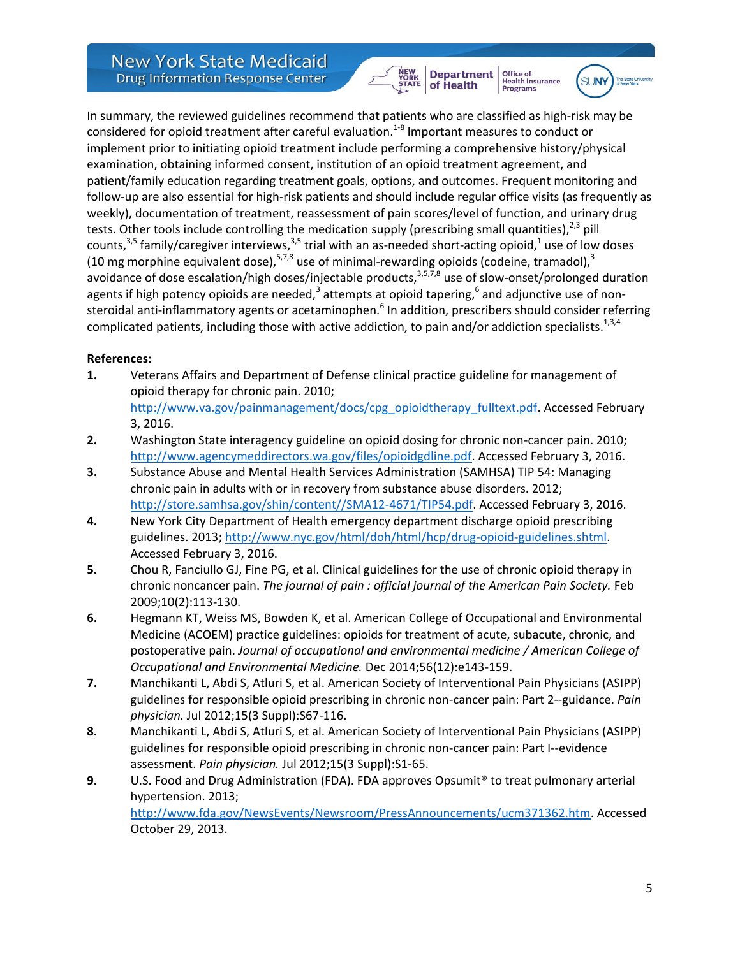In summary, the reviewed guidelines recommend that patients who are classified as high-risk may be considered for opioid treatment after careful evaluation.<sup>1-8</sup> Important measures to conduct or implement prior to initiating opioid treatment include performing a comprehensive history/physical examination, obtaining informed consent, institution of an opioid treatment agreement, and patient/family education regarding treatment goals, options, and outcomes. Frequent monitoring and follow-up are also essential for high-risk patients and should include regular office visits (as frequently as weekly), documentation of treatment, reassessment of pain scores/level of function, and urinary drug tests. Other tools include controlling the medication supply (prescribing small quantities), $^{2,3}$  pill counts,<sup>3,5</sup> family/caregiver interviews,<sup>3,5</sup> trial with an as-needed short-acting opioid,<sup>1</sup> use of low doses (10 mg morphine equivalent dose),  $57/8$  use of minimal-rewarding opioids (codeine, tramadol),  $3$ avoidance of dose escalation/high doses/injectable products,<sup>3,5,7,8</sup> use of slow-onset/prolonged duration agents if high potency opioids are needed,<sup>3</sup> attempts at opioid tapering,<sup>6</sup> and adjunctive use of nonsteroidal anti-inflammatory agents or acetaminophen.<sup>6</sup> In addition, prescribers should consider referring complicated patients, including those with active addiction, to pain and/or addiction specialists. $^{1,3,4}$ 

NEW<br>YORK<br>STATE

**Department**<br>of Health

Office of<br>Health Insurance

**Programs** 

**SLINN** 

## **References:**

- **1.** Veterans Affairs and Department of Defense clinical practice guideline for management of opioid therapy for chronic pain. 2010; [http://www.va.gov/painmanagement/docs/cpg\\_opioidtherapy\\_fulltext.pdf.](http://www.va.gov/painmanagement/docs/cpg_opioidtherapy_fulltext.pdf) Accessed February 3, 2016.
- **2.** Washington State interagency guideline on opioid dosing for chronic non-cancer pain. 2010; [http://www.agencymeddirectors.wa.gov/files/opioidgdline.pdf.](http://www.agencymeddirectors.wa.gov/files/opioidgdline.pdf) Accessed February 3, 2016.
- **3.** Substance Abuse and Mental Health Services Administration (SAMHSA) TIP 54: Managing chronic pain in adults with or in recovery from substance abuse disorders. 2012; [http://store.samhsa.gov/shin/content//SMA12-4671/TIP54.pdf.](http://store.samhsa.gov/shin/content/SMA12-4671/TIP54.pdf) Accessed February 3, 2016.
- **4.** New York City Department of Health emergency department discharge opioid prescribing guidelines. 2013; [http://www.nyc.gov/html/doh/html/hcp/drug-opioid-guidelines.shtml.](http://www.nyc.gov/html/doh/html/hcp/drug-opioid-guidelines.shtml) Accessed February 3, 2016.
- **5.** Chou R, Fanciullo GJ, Fine PG, et al. Clinical guidelines for the use of chronic opioid therapy in chronic noncancer pain. *The journal of pain : official journal of the American Pain Society.* Feb 2009;10(2):113-130.
- **6.** Hegmann KT, Weiss MS, Bowden K, et al. American College of Occupational and Environmental Medicine (ACOEM) practice guidelines: opioids for treatment of acute, subacute, chronic, and postoperative pain. *Journal of occupational and environmental medicine / American College of Occupational and Environmental Medicine.* Dec 2014;56(12):e143-159.
- **7.** Manchikanti L, Abdi S, Atluri S, et al. American Society of Interventional Pain Physicians (ASIPP) guidelines for responsible opioid prescribing in chronic non-cancer pain: Part 2--guidance. *Pain physician.* Jul 2012;15(3 Suppl):S67-116.
- **8.** Manchikanti L, Abdi S, Atluri S, et al. American Society of Interventional Pain Physicians (ASIPP) guidelines for responsible opioid prescribing in chronic non-cancer pain: Part I--evidence assessment. *Pain physician.* Jul 2012;15(3 Suppl):S1-65.
- **9.** U.S. Food and Drug Administration (FDA). FDA approves Opsumit® to treat pulmonary arterial hypertension. 2013;

[http://www.fda.gov/NewsEvents/Newsroom/PressAnnouncements/ucm371362.htm.](http://www.fda.gov/NewsEvents/Newsroom/PressAnnouncements/ucm371362.htm) Accessed October 29, 2013.